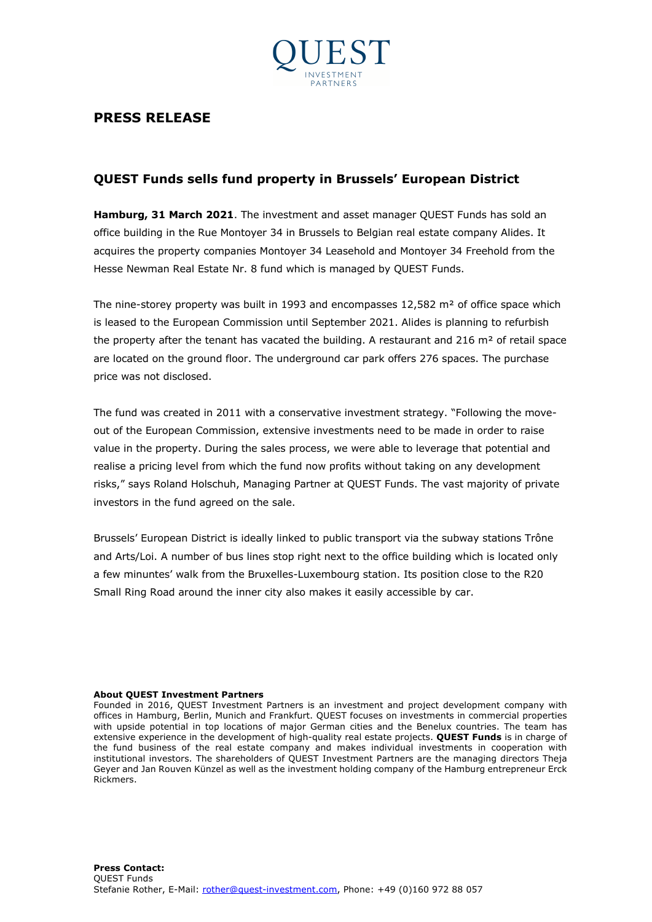

## **PRESS RELEASE**

## **QUEST Funds sells fund property in Brussels' European District**

**Hamburg, 31 March 2021**. The investment and asset manager QUEST Funds has sold an office building in the Rue Montoyer 34 in Brussels to Belgian real estate company Alides. It acquires the property companies Montoyer 34 Leasehold and Montoyer 34 Freehold from the Hesse Newman Real Estate Nr. 8 fund which is managed by QUEST Funds.

The nine-storey property was built in 1993 and encompasses  $12,582$  m<sup>2</sup> of office space which is leased to the European Commission until September 2021. Alides is planning to refurbish the property after the tenant has vacated the building. A restaurant and  $216 \text{ m}^2$  of retail space are located on the ground floor. The underground car park offers 276 spaces. The purchase price was not disclosed.

The fund was created in 2011 with a conservative investment strategy. "Following the moveout of the European Commission, extensive investments need to be made in order to raise value in the property. During the sales process, we were able to leverage that potential and realise a pricing level from which the fund now profits without taking on any development risks," says Roland Holschuh, Managing Partner at QUEST Funds. The vast majority of private investors in the fund agreed on the sale.

Brussels' European District is ideally linked to public transport via the subway stations Trône and Arts/Loi. A number of bus lines stop right next to the office building which is located only a few minuntes' walk from the Bruxelles-Luxembourg station. Its position close to the R20 Small Ring Road around the inner city also makes it easily accessible by car.

## **About QUEST Investment Partners**

Founded in 2016, QUEST Investment Partners is an investment and project development company with offices in Hamburg, Berlin, Munich and Frankfurt. QUEST focuses on investments in commercial properties with upside potential in top locations of major German cities and the Benelux countries. The team has extensive experience in the development of high-quality real estate projects. **QUEST Funds** is in charge of the fund business of the real estate company and makes individual investments in cooperation with institutional investors. The shareholders of QUEST Investment Partners are the managing directors Theja Geyer and Jan Rouven Künzel as well as the investment holding company of the Hamburg entrepreneur Erck Rickmers.